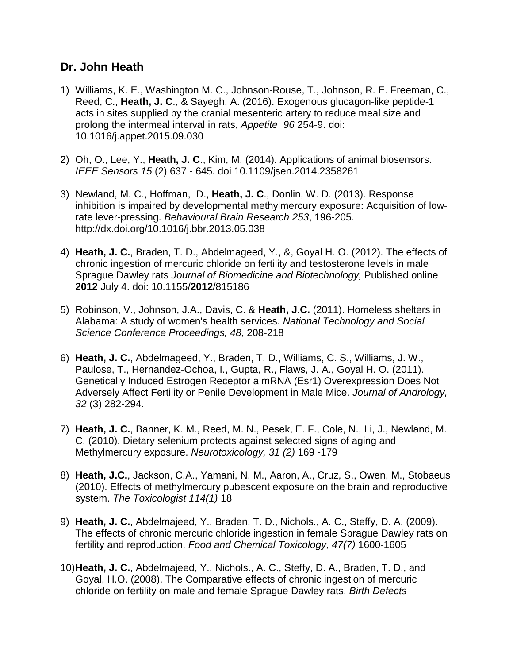## **Dr. John Heath**

- 1) Williams, K. E., Washington M. C., Johnson-Rouse, T., Johnson, R. E. Freeman, C., Reed, C., **Heath, J. C**., & Sayegh, A. (2016). Exogenous glucagon-like peptide-1 acts in sites supplied by the cranial mesenteric artery to reduce meal size and prolong the intermeal interval in rats, *Appetite 96* 254-9. doi: 10.1016/j.appet.2015.09.030
- 2) Oh, O., Lee, Y., **Heath, J. C**., Kim, M. (2014). Applications of animal biosensors. *IEEE Sensors 15* (2) 637 - 645. doi 10.1109/jsen.2014.2358261
- 3) [Newland,](http://www.sciencedirect.com/science/article/pii/S0166432813003173) M. C., [Hoffman,](http://www.sciencedirect.com/science/article/pii/S0166432813003173) D., **[Heath,](http://www.sciencedirect.com/science/article/pii/S0166432813003173) J. C**., [Donlin,](http://www.sciencedirect.com/science/article/pii/S0166432813003173) W. D. (2013). Response inhibition is impaired by developmental methylmercury exposure: Acquisition of lowrate lever-pressing. *[Behavioural](http://www.sciencedirect.com/science/journal/01664328) Brain Research 253*, 196-205. <http://dx.doi.org/10.1016/j.bbr.2013.05.038>
- 4) **Heath, J. C.**, Braden, T. D., Abdelmageed, Y., &, Goyal H. O. (2012). The effects of chronic ingestion of mercuric chloride on fertility and testosterone levels in male Sprague Dawley rats *Journal of Biomedicine and Biotechnology,* Published online **2012** July 4. doi: 10.1155/**2012**/815186
- 5) Robinson, V., Johnson, J.A., Davis, C. & **Heath, J**.**C.** (2011). Homeless shelters in Alabama: A study of women's health services. *National Technology and Social Science Conference Proceedings, 48*, 208-218
- 6) **Heath, J. C.**, Abdelmageed, Y., Braden, T. D., Williams, C. S., Williams, J. W., Paulose, T., Hernandez-Ochoa, I., Gupta, R., Flaws, J. A., Goyal H. O. (2011). Genetically Induced Estrogen Receptor a mRNA (Esr1) Overexpression Does Not Adversely Affect Fertility or Penile Development in Male Mice. *Journal of Andrology, 32* (3) 282-294.
- 7) **Heath, J. C.**, Banner, K. M., Reed, M. N., Pesek, E. F., Cole, N., Li, J., Newland, M. C. (2010). Dietary selenium protects against selected signs of aging and Methylmercury exposure. *Neurotoxicology, 31 (2)* 169 -179
- 8) **Heath, J.C.**, Jackson, C.A., Yamani, N. M., Aaron, A., Cruz, S., Owen, M., Stobaeus (2010). Effects of methylmercury pubescent exposure on the brain and reproductive system. *The Toxicologist 114(1)* 18
- 9) **Heath, J. C.**, Abdelmajeed, Y., Braden, T. D., Nichols., A. C., Steffy, D. A. (2009). The effects of chronic mercuric chloride ingestion in female Sprague Dawley rats on fertility and reproduction. *Food and Chemical Toxicology, 47(7)* 1600-1605
- 10)**Heath, J. C.**, Abdelmajeed, Y., Nichols., A. C., Steffy, D. A., Braden, T. D., and Goyal, H.O. (2008). The Comparative effects of chronic ingestion of mercuric chloride on fertility on male and female Sprague Dawley rats. *Birth Defects*